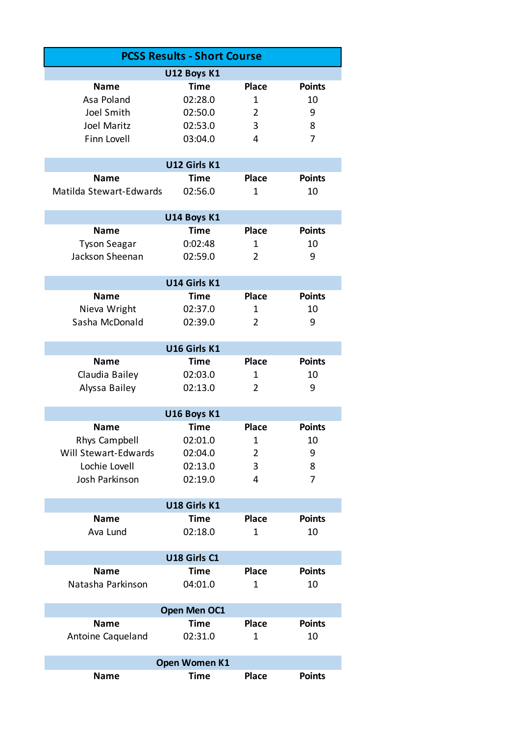| <b>PCSS Results - Short Course</b>     |                            |                |                |  |  |  |  |
|----------------------------------------|----------------------------|----------------|----------------|--|--|--|--|
|                                        | U12 Boys K1                |                |                |  |  |  |  |
| <b>Name</b>                            | Time                       | <b>Place</b>   | <b>Points</b>  |  |  |  |  |
| Asa Poland                             | 02:28.0                    | 1              | 10             |  |  |  |  |
| Joel Smith                             | 02:50.0                    | $\overline{2}$ | 9              |  |  |  |  |
| Joel Maritz                            | 02:53.0                    | 3              | 8              |  |  |  |  |
| Finn Lovell                            | 03:04.0                    | 4              | 7              |  |  |  |  |
|                                        |                            |                |                |  |  |  |  |
|                                        | U12 Girls K1               |                |                |  |  |  |  |
| <b>Name</b>                            | <b>Time</b>                | <b>Place</b>   | <b>Points</b>  |  |  |  |  |
| Matilda Stewart-Edwards                | 02:56.0                    | 1              | 10             |  |  |  |  |
|                                        |                            |                |                |  |  |  |  |
| <b>Name</b>                            | U14 Boys K1<br><b>Time</b> | <b>Place</b>   | <b>Points</b>  |  |  |  |  |
|                                        | 0:02:48                    |                |                |  |  |  |  |
| <b>Tyson Seagar</b><br>Jackson Sheenan |                            | 1              | 10             |  |  |  |  |
|                                        | 02:59.0                    | $\overline{2}$ | 9              |  |  |  |  |
| U14 Girls K1                           |                            |                |                |  |  |  |  |
| <b>Name</b>                            | <b>Time</b>                | <b>Place</b>   | <b>Points</b>  |  |  |  |  |
| Nieva Wright                           | 02:37.0                    | 1              | 10             |  |  |  |  |
| Sasha McDonald                         | 02:39.0                    | $\overline{2}$ | 9              |  |  |  |  |
|                                        |                            |                |                |  |  |  |  |
|                                        | U16 Girls K1               |                |                |  |  |  |  |
| <b>Name</b>                            | <b>Time</b>                | <b>Place</b>   | <b>Points</b>  |  |  |  |  |
| Claudia Bailey                         | 02:03.0                    | 1              | 10             |  |  |  |  |
| Alyssa Bailey                          | 02:13.0                    | $\overline{2}$ | 9              |  |  |  |  |
|                                        | U16 Boys K1                |                |                |  |  |  |  |
| <b>Name</b>                            | <b>Time</b>                | <b>Place</b>   | <b>Points</b>  |  |  |  |  |
| <b>Rhys Campbell</b>                   | 02:01.0                    | $\mathbf 1$    | 10             |  |  |  |  |
| <b>Will Stewart-Edwards</b>            | 02:04.0                    | 2              | 9              |  |  |  |  |
| Lochie Lovell                          | 02:13.0                    | 3              | 8              |  |  |  |  |
| Josh Parkinson                         | 02:19.0                    | 4              | $\overline{7}$ |  |  |  |  |
|                                        |                            |                |                |  |  |  |  |
| U18 Girls K1                           |                            |                |                |  |  |  |  |
| <b>Name</b>                            | <b>Time</b>                | <b>Place</b>   | <b>Points</b>  |  |  |  |  |
| Ava Lund                               | 02:18.0                    | $\mathbf 1$    | 10             |  |  |  |  |
|                                        |                            |                |                |  |  |  |  |
|                                        | U18 Girls C1               |                |                |  |  |  |  |
| <b>Name</b>                            | <b>Time</b>                | <b>Place</b>   | <b>Points</b>  |  |  |  |  |
| Natasha Parkinson                      | 04:01.0                    | $\mathbf 1$    | 10             |  |  |  |  |
| Open Men OC1                           |                            |                |                |  |  |  |  |
| <b>Name</b>                            | <b>Time</b>                | <b>Place</b>   | <b>Points</b>  |  |  |  |  |
| Antoine Caqueland                      | 02:31.0                    | $\mathbf 1$    | 10             |  |  |  |  |
|                                        |                            |                |                |  |  |  |  |
| <b>Open Women K1</b>                   |                            |                |                |  |  |  |  |
| <b>Name</b>                            | <b>Time</b>                | <b>Place</b>   | <b>Points</b>  |  |  |  |  |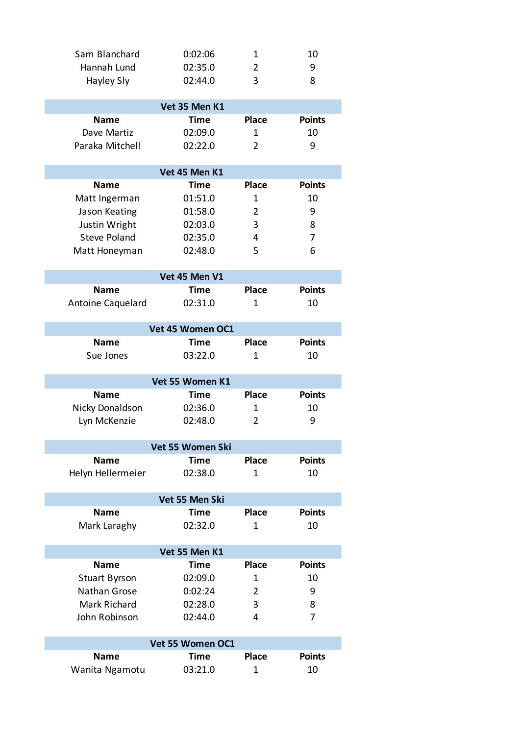| Sam Blanchard        | 0:02:06          | $\mathbf 1$    | 10            |  |  |  |
|----------------------|------------------|----------------|---------------|--|--|--|
| Hannah Lund          | 02:35.0          | 2              | 9             |  |  |  |
| Hayley Sly           | 02:44.0          | 3              | 8             |  |  |  |
|                      |                  |                |               |  |  |  |
| Vet 35 Men K1        |                  |                |               |  |  |  |
| <b>Name</b>          | <b>Time</b>      | <b>Place</b>   | <b>Points</b> |  |  |  |
| Dave Martiz          | 02:09.0          | $\mathbf{1}$   | 10            |  |  |  |
| Paraka Mitchell      | 02:22.0          | 2              | 9             |  |  |  |
|                      |                  |                |               |  |  |  |
|                      | Vet 45 Men K1    |                |               |  |  |  |
| <b>Name</b>          | <b>Time</b>      | <b>Place</b>   | <b>Points</b> |  |  |  |
| Matt Ingerman        | 01:51.0          | 1              | 10            |  |  |  |
| Jason Keating        | 01:58.0          | $\overline{2}$ | 9             |  |  |  |
| Justin Wright        | 02:03.0          | 3              | 8             |  |  |  |
| <b>Steve Poland</b>  | 02:35.0          | 4              | 7             |  |  |  |
| Matt Honeyman        | 02:48.0          | 5              | 6             |  |  |  |
|                      |                  |                |               |  |  |  |
|                      | Vet 45 Men V1    |                |               |  |  |  |
| <b>Name</b>          | Time             | <b>Place</b>   | <b>Points</b> |  |  |  |
| Antoine Caquelard    | 02:31.0          | 1              | 10            |  |  |  |
|                      |                  |                |               |  |  |  |
|                      | Vet 45 Women OC1 |                |               |  |  |  |
| <b>Name</b>          | <b>Time</b>      | <b>Place</b>   | <b>Points</b> |  |  |  |
| Sue Jones            | 03:22.0          | 1              | 10            |  |  |  |
|                      |                  |                |               |  |  |  |
|                      | Vet 55 Women K1  |                |               |  |  |  |
| <b>Name</b>          | <b>Time</b>      | <b>Place</b>   | <b>Points</b> |  |  |  |
| Nicky Donaldson      | 02:36.0          | 1              | 10            |  |  |  |
| Lyn McKenzie         | 02:48.0          | 2              | 9             |  |  |  |
|                      |                  |                |               |  |  |  |
|                      | Vet 55 Women Ski |                |               |  |  |  |
| Name                 | <b>Time</b>      | <b>Place</b>   | <b>Points</b> |  |  |  |
| Helyn Hellermeier    | 02:38.0          | $\mathbf{1}$   | 10            |  |  |  |
|                      | Vet 55 Men Ski   |                |               |  |  |  |
| <b>Name</b>          | <b>Time</b>      | <b>Place</b>   | <b>Points</b> |  |  |  |
| Mark Laraghy         | 02:32.0          | 1              | 10            |  |  |  |
|                      |                  |                |               |  |  |  |
| Vet 55 Men K1        |                  |                |               |  |  |  |
| <b>Name</b>          | Time             | <b>Place</b>   | <b>Points</b> |  |  |  |
| <b>Stuart Byrson</b> | 02:09.0          | 1              | 10            |  |  |  |
| Nathan Grose         | 0:02:24          | 2              | 9             |  |  |  |
| Mark Richard         | 02:28.0          | 3              | 8             |  |  |  |
| John Robinson        | 02:44.0          | 4              | 7             |  |  |  |
|                      |                  |                |               |  |  |  |
| Vet 55 Women OC1     |                  |                |               |  |  |  |
| <b>Name</b>          | <b>Time</b>      | <b>Place</b>   | <b>Points</b> |  |  |  |
| Wanita Ngamotu       | 03:21.0          | 1              | 10            |  |  |  |
|                      |                  |                |               |  |  |  |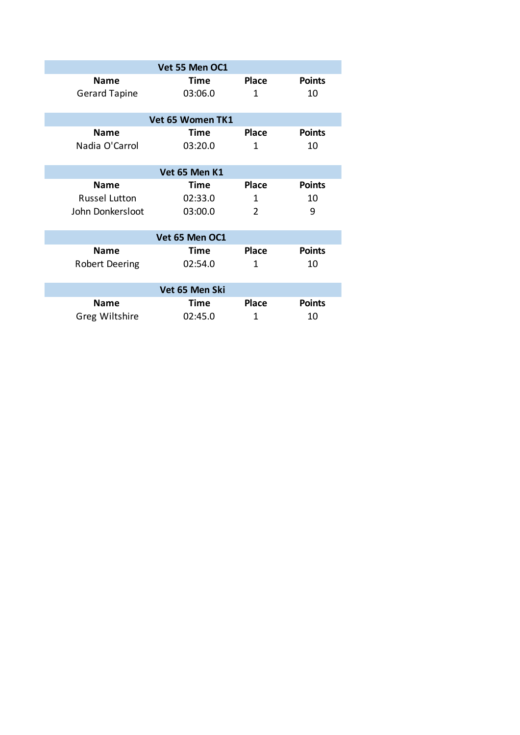| Vet 55 Men OC1       |         |                |               |  |  |  |
|----------------------|---------|----------------|---------------|--|--|--|
| <b>Name</b>          | Time    | <b>Place</b>   | <b>Points</b> |  |  |  |
| <b>Gerard Tapine</b> | 03:06.0 | 1              | 10            |  |  |  |
|                      |         |                |               |  |  |  |
| Vet 65 Women TK1     |         |                |               |  |  |  |
| <b>Name</b>          | Time    | <b>Place</b>   | <b>Points</b> |  |  |  |
| Nadia O'Carrol       | 03:20.0 | 1              | 10            |  |  |  |
|                      |         |                |               |  |  |  |
| Vet 65 Men K1        |         |                |               |  |  |  |
| <b>Name</b>          | Time    | <b>Place</b>   | <b>Points</b> |  |  |  |
| <b>Russel Lutton</b> | 02:33.0 | 1              | 10            |  |  |  |
| John Donkersloot     | 03:00.0 | $\overline{2}$ | 9             |  |  |  |
|                      |         |                |               |  |  |  |
| Vet 65 Men OC1       |         |                |               |  |  |  |
| <b>Name</b>          | Time    | <b>Place</b>   | <b>Points</b> |  |  |  |
| Robert Deering       | 02:54.0 | 1              | 10            |  |  |  |
|                      |         |                |               |  |  |  |
| Vet 65 Men Ski       |         |                |               |  |  |  |
| <b>Name</b>          | Time    | <b>Place</b>   | <b>Points</b> |  |  |  |
| Greg Wiltshire       | 02:45.0 | 1              | 10            |  |  |  |